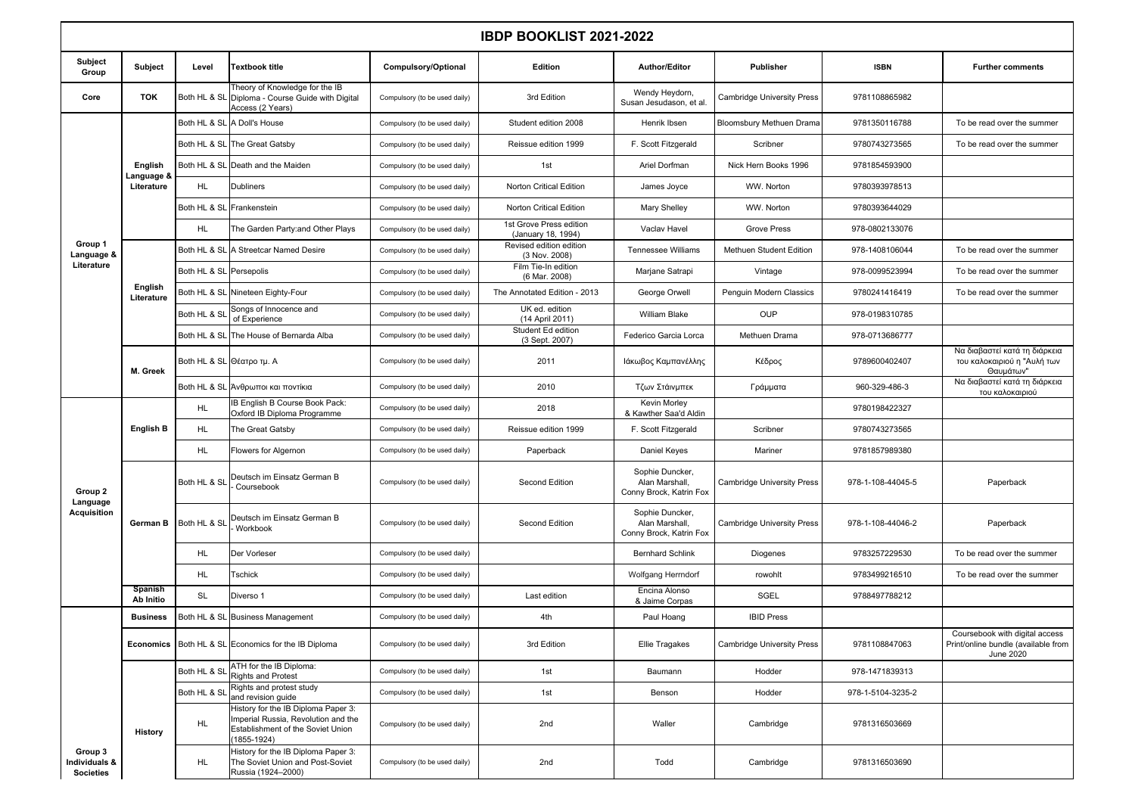| <b>IBDP BOOKLIST 2021-2022</b>               |                                     |                         |                                                                                                                                    |                               |                                               |                                                              |                                   |                   |                                                                                    |  |
|----------------------------------------------|-------------------------------------|-------------------------|------------------------------------------------------------------------------------------------------------------------------------|-------------------------------|-----------------------------------------------|--------------------------------------------------------------|-----------------------------------|-------------------|------------------------------------------------------------------------------------|--|
| Subject<br>Group                             | Subject                             | Level                   | <b>Textbook title</b>                                                                                                              | Compulsory/Optional           | <b>Edition</b>                                | <b>Author/Editor</b>                                         | Publisher                         | <b>ISBN</b>       | <b>Further comments</b>                                                            |  |
| Core                                         | <b>TOK</b>                          | Both HL & SL            | Theory of Knowledge for the IB<br>Diploma - Course Guide with Digital<br>Access (2 Years)                                          | Compulsory (to be used daily) | 3rd Edition                                   | Wendy Heydorn,<br>Susan Jesudason, et al.                    | <b>Cambridge University Press</b> | 9781108865982     |                                                                                    |  |
|                                              | English<br>Language 8<br>Literature |                         | Both HL & SL A Doll's House                                                                                                        | Compulsory (to be used daily) | Student edition 2008                          | Henrik Ibsen                                                 | Bloomsbury Methuen Drama          | 9781350116788     | To be read over the summer                                                         |  |
|                                              |                                     |                         | Both HL & SL The Great Gatsby                                                                                                      | Compulsory (to be used daily) | Reissue edition 1999                          | F. Scott Fitzgerald                                          | Scribner                          | 9780743273565     | To be read over the summer                                                         |  |
|                                              |                                     |                         | Both HL & SL Death and the Maiden                                                                                                  | Compulsory (to be used daily) | 1st                                           | Ariel Dorfman                                                | Nick Hern Books 1996              | 9781854593900     |                                                                                    |  |
|                                              |                                     | <b>HL</b>               | <b>Dubliners</b>                                                                                                                   | Compulsory (to be used daily) | Norton Critical Edition                       | James Joyce                                                  | WW. Norton                        | 9780393978513     |                                                                                    |  |
|                                              |                                     | Both HL & SI            | Frankenstein                                                                                                                       | Compulsory (to be used daily) | Norton Critical Edition                       | Mary Shelley                                                 | WW. Norton                        | 9780393644029     |                                                                                    |  |
|                                              |                                     | HL                      | The Garden Party: and Other Plays                                                                                                  | Compulsory (to be used daily) | 1st Grove Press edition<br>(January 18, 1994) | Vaclav Havel                                                 | <b>Grove Press</b>                | 978-0802133076    |                                                                                    |  |
| Group 1<br>Language &                        |                                     | Both HL & SL            | A Streetcar Named Desire                                                                                                           | Compulsory (to be used daily) | Revised edition edition<br>(3 Nov. 2008)      | <b>Tennessee Williams</b>                                    | Methuen Student Edition           | 978-1408106044    | To be read over the summer                                                         |  |
| Literature                                   |                                     | Both HL & SL Persepolis |                                                                                                                                    | Compulsory (to be used daily) | Film Tie-In edition<br>(6 Mar. 2008)          | Marjane Satrapi                                              | Vintage                           | 978-0099523994    | To be read over the summer                                                         |  |
|                                              | English<br>Literature               | Both HL & SL            | Nineteen Eighty-Four                                                                                                               | Compulsory (to be used daily) | The Annotated Edition - 2013                  | George Orwell                                                | Penguin Modern Classics           | 9780241416419     | To be read over the summer                                                         |  |
|                                              |                                     | Both HL & SL            | Songs of Innocence and<br>of Experience                                                                                            | Compulsory (to be used daily) | UK ed. edition<br>(14 April 2011)             | William Blake                                                | <b>OUP</b>                        | 978-0198310785    |                                                                                    |  |
|                                              |                                     |                         | Both HL & SL The House of Bernarda Alba                                                                                            | Compulsory (to be used daily) | Student Ed edition<br>(3 Sept. 2007)          | Federico Garcia Lorca                                        | Methuen Drama                     | 978-0713686777    |                                                                                    |  |
|                                              | M. Greek                            |                         | Both HL & SL Θέατρο τμ. Α                                                                                                          | Compulsory (to be used daily) | 2011                                          | Ιάκωβος Καμπανέλλης                                          | Κέδρος                            | 9789600402407     | Να διαβαστεί κατά τη διάρκεια<br>του καλοκαιριού η "Αυλή των<br>Θαυμάτων"          |  |
|                                              |                                     | Both HL & SL            | Ανθρωποι και ποντίκια                                                                                                              | Compulsory (to be used daily) | 2010                                          | Τζων Στάινμπεκ                                               | Γράμματα                          | 960-329-486-3     | Να διαβαστεί κατά τη διάρκεια<br>του καλοκαιριού                                   |  |
| Group 2<br>Language<br><b>Acquisition</b>    | <b>English B</b>                    | HL                      | IB English B Course Book Pack:<br>Oxford IB Diploma Programme                                                                      | Compulsory (to be used daily) | 2018                                          | Kevin Morley<br>& Kawther Saa'd Aldin                        |                                   | 9780198422327     |                                                                                    |  |
|                                              |                                     | <b>HL</b>               | The Great Gatsby                                                                                                                   | Compulsory (to be used daily) | Reissue edition 1999                          | F. Scott Fitzgerald                                          | Scribner                          | 9780743273565     |                                                                                    |  |
|                                              |                                     | <b>HL</b>               | Flowers for Algernon                                                                                                               | Compulsory (to be used daily) | Paperback                                     | Daniel Keyes                                                 | Mariner                           | 9781857989380     |                                                                                    |  |
|                                              | German B                            | Both HL & SL            | Deutsch im Einsatz German B<br>Coursebook                                                                                          | Compulsory (to be used daily) | <b>Second Edition</b>                         | Sophie Duncker,<br>Alan Marshall,<br>Conny Brock, Katrin Fox | <b>Cambridge University Press</b> | 978-1-108-44045-5 | Paperback                                                                          |  |
|                                              |                                     | Both HL & SL            | Deutsch im Einsatz German B<br>Workbook                                                                                            | Compulsory (to be used daily) | Second Edition                                | Sophie Duncker,<br>Alan Marshall,<br>Conny Brock, Katrin Fox | <b>Cambridge University Press</b> | 978-1-108-44046-2 | Paperback                                                                          |  |
|                                              |                                     | <b>HL</b>               | Der Vorleser                                                                                                                       | Compulsory (to be used daily) |                                               | <b>Bernhard Schlink</b>                                      | Diogenes                          | 9783257229530     | To be read over the summer                                                         |  |
|                                              |                                     | <b>HL</b>               | <b>Tschick</b>                                                                                                                     | Compulsory (to be used daily) |                                               | Wolfgang Herrndorf                                           | rowohlt                           | 9783499216510     | To be read over the summer                                                         |  |
|                                              | Spanish<br>Ab Initio                | <b>SL</b>               | Diverso 1                                                                                                                          | Compulsory (to be used daily) | Last edition                                  | Encina Alonso<br>& Jaime Corpas                              | SGEL                              | 9788497788212     |                                                                                    |  |
|                                              | <b>Business</b>                     |                         | Both HL & SL Business Management                                                                                                   | Compulsory (to be used daily) | 4th                                           | Paul Hoang                                                   | <b>IBID Press</b>                 |                   |                                                                                    |  |
|                                              | <b>Economics</b>                    |                         | Both HL & SL Economics for the IB Diploma                                                                                          | Compulsory (to be used daily) | 3rd Edition                                   | Ellie Tragakes                                               | <b>Cambridge University Press</b> | 9781108847063     | Coursebook with digital access<br>Print/online bundle (available from<br>June 2020 |  |
|                                              |                                     | Both HL & SI            | ATH for the IB Diploma:<br><b>Rights and Protest</b>                                                                               | Compulsory (to be used daily) | 1st                                           | Baumann                                                      | Hodder                            | 978-1471839313    |                                                                                    |  |
| Group 3<br>Individuals &<br><b>Societies</b> | <b>History</b>                      | Both HL & SI            | Rights and protest study<br>and revision guide                                                                                     | Compulsory (to be used daily) | 1st                                           | Benson                                                       | Hodder                            | 978-1-5104-3235-2 |                                                                                    |  |
|                                              |                                     | <b>HL</b>               | History for the IB Diploma Paper 3:<br>Imperial Russia, Revolution and the<br>Establishment of the Soviet Union<br>$(1855 - 1924)$ | Compulsory (to be used daily) | 2nd                                           | Waller                                                       | Cambridge                         | 9781316503669     |                                                                                    |  |
|                                              |                                     | HL.                     | History for the IB Diploma Paper 3:<br>The Soviet Union and Post-Soviet<br>Russia (1924-2000)                                      | Compulsory (to be used daily) | 2nd                                           | Todd                                                         | Cambridge                         | 9781316503690     |                                                                                    |  |